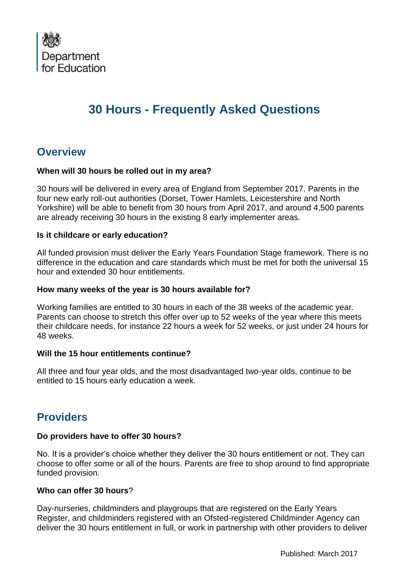

# **30 Hours - Frequently Asked Questions**

# **Overview**

#### **When will 30 hours be rolled out in my area?**

30 hours will be delivered in every area of England from September 2017. Parents in the four new early roll-out authorities (Dorset, Tower Hamlets, Leicestershire and North Yorkshire) will be able to benefit from 30 hours from April 2017, and around 4,500 parents are already receiving 30 hours in the existing 8 early implementer areas.

#### **Is it childcare or early education?**

All funded provision must deliver the Early Years Foundation Stage framework. There is no difference in the education and care standards which must be met for both the universal 15 hour and extended 30 hour entitlements.

#### **How many weeks of the year is 30 hours available for?**

Working families are entitled to 30 hours in each of the 38 weeks of the academic year. Parents can choose to stretch this offer over up to 52 weeks of the year where this meets their childcare needs, for instance 22 hours a week for 52 weeks, or just under 24 hours for 48 weeks.

#### **Will the 15 hour entitlements continue?**

All three and four year olds, and the most disadvantaged two-year olds, continue to be entitled to 15 hours early education a week.

# **Providers**

#### **Do providers have to offer 30 hours?**

No. It is a provider's choice whether they deliver the 30 hours entitlement or not. They can choose to offer some or all of the hours. Parents are free to shop around to find appropriate funded provision.

#### **Who can offer 30 hours**?

Day-nurseries, childminders and playgroups that are registered on the Early Years Register, and childminders registered with an Ofsted-registered Childminder Agency can deliver the 30 hours entitlement in full, or work in partnership with other providers to deliver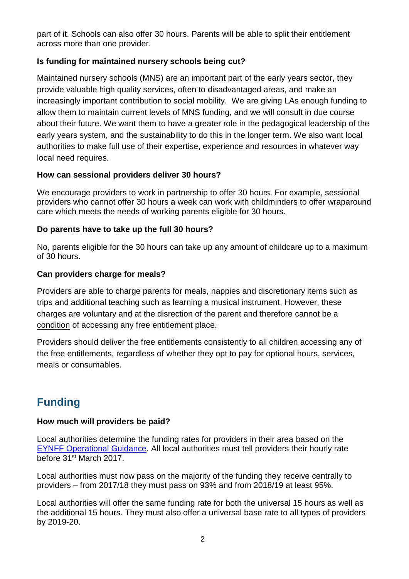part of it. Schools can also offer 30 hours. Parents will be able to split their entitlement across more than one provider.

# **Is funding for maintained nursery schools being cut?**

Maintained nursery schools (MNS) are an important part of the early years sector, they provide valuable high quality services, often to disadvantaged areas, and make an increasingly important contribution to social mobility. We are giving LAs enough funding to allow them to maintain current levels of MNS funding, and we will consult in due course about their future. We want them to have a greater role in the pedagogical leadership of the early years system, and the sustainability to do this in the longer term. We also want local authorities to make full use of their expertise, experience and resources in whatever way local need requires.

#### **How can sessional providers deliver 30 hours?**

We encourage providers to work in partnership to offer 30 hours. For example, sessional providers who cannot offer 30 hours a week can work with childminders to offer wraparound care which meets the needs of working parents eligible for 30 hours.

# **Do parents have to take up the full 30 hours?**

No, parents eligible for the 30 hours can take up any amount of childcare up to a maximum of 30 hours.

# **Can providers charge for meals?**

Providers are able to charge parents for meals, nappies and discretionary items such as trips and additional teaching such as learning a musical instrument. However, these charges are voluntary and at the disrection of the parent and therefore cannot be a condition of accessing any free entitlement place.

Providers should deliver the free entitlements consistently to all children accessing any of the free entitlements, regardless of whether they opt to pay for optional hours, services, meals or consumables.

# **Funding**

#### **How much will providers be paid?**

Local authorities determine the funding rates for providers in their area based on the [EYNFF Operational Guidance.](https://www.gov.uk/government/uploads/system/uploads/attachment_data/file/580716/EYNFF_Operational_Guidance.pdf) All local authorities must tell providers their hourly rate before 31st March 2017.

Local authorities must now pass on the majority of the funding they receive centrally to providers – from 2017/18 they must pass on 93% and from 2018/19 at least 95%.

Local authorities will offer the same funding rate for both the universal 15 hours as well as the additional 15 hours. They must also offer a universal base rate to all types of providers by 2019-20.